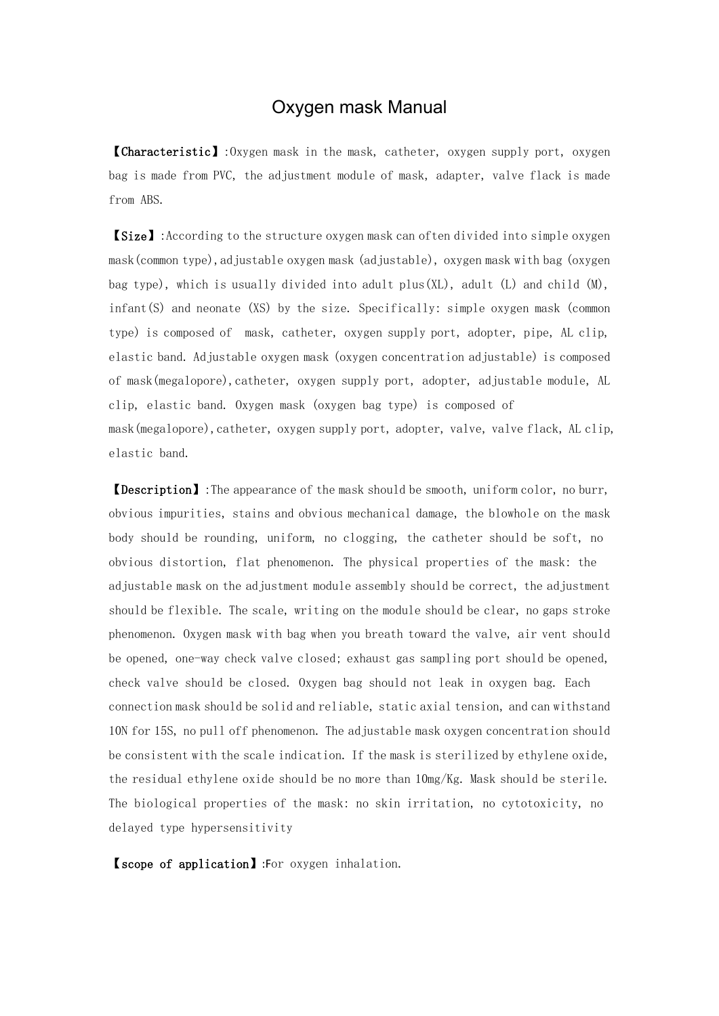## Oxygen mask Manual

【Characteristic】:Oxygen mask in the mask, catheter, oxygen supply port, oxygen bag is made from PVC, the adjustment module of mask, adapter, valve flack is made from ABS.

【Size】:According to the structure oxygen mask can often divided into simple oxygen mask(common type),adjustable oxygen mask (adjustable), oxygen mask with bag (oxygen bag type), which is usually divided into adult plus(XL), adult (L) and child (M), infant(S) and neonate (XS) by the size. Specifically: simple oxygen mask (common type) is composed of mask, catheter, oxygen supply port, adopter, pipe, AL clip, elastic band. Adjustable oxygen mask (oxygen concentration adjustable) is composed of mask(megalopore),catheter, oxygen supply port, adopter, adjustable module, AL clip, elastic band. Oxygen mask (oxygen bag type) is composed of mask(megalopore), catheter, oxygen supply port, adopter, valve, valve flack, AL clip, elastic band.

【Description】:The appearance of the mask should be smooth, uniform color, no burr, obvious impurities, stains and obvious mechanical damage, the blowhole on the mask body should be rounding, uniform, no clogging, the catheter should be soft, no obvious distortion, flat phenomenon. The physical properties of the mask: the adjustable mask on the adjustment module assembly should be correct, the adjustment should be flexible. The scale, writing on the module should be clear, no gaps stroke phenomenon. Oxygen mask with bag when you breath toward the valve, air vent should be opened, one-way check valve closed; exhaust gas sampling port should be opened, check valve should be closed. Oxygen bag should not leak in oxygen bag. Each connection mask should be solid and reliable, static axial tension, and can withstand 10N for 15S, no pull off phenomenon. The adjustable mask oxygen concentration should be consistent with the scale indication. If the mask is sterilized by ethylene oxide, the residual ethylene oxide should be no more than 10mg/Kg. Mask should be sterile. The biological properties of the mask: no skin irritation, no cytotoxicity, no delayed type hypersensitivity

【scope of application】:For oxygen inhalation.